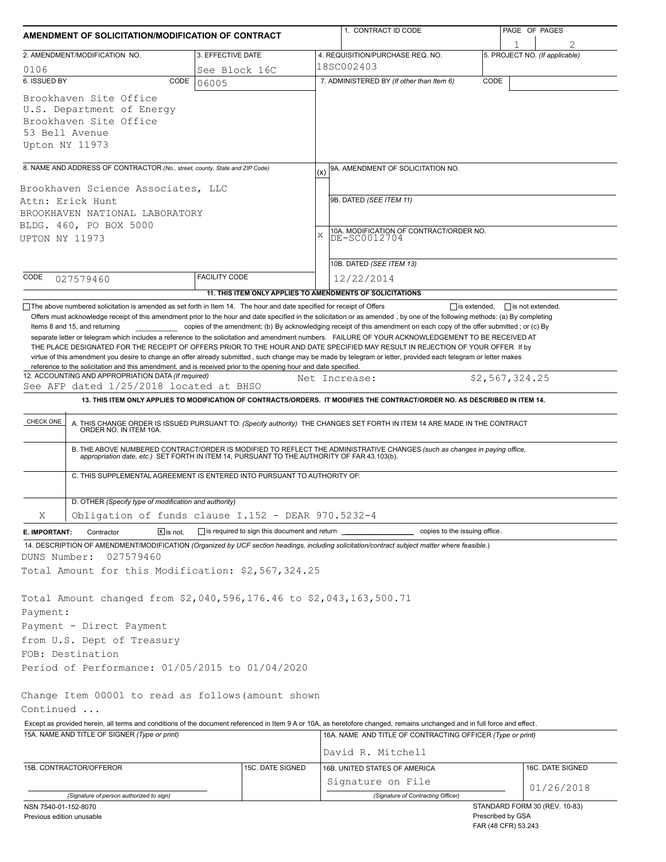| AMENDMENT OF SOLICITATION/MODIFICATION OF CONTRACT                                                                                                                                                                                                                                     |                                              |                  | 1. CONTRACT ID CODE                                                                                                                                                                                                      | PAGE OF PAGES                                  |  |  |
|----------------------------------------------------------------------------------------------------------------------------------------------------------------------------------------------------------------------------------------------------------------------------------------|----------------------------------------------|------------------|--------------------------------------------------------------------------------------------------------------------------------------------------------------------------------------------------------------------------|------------------------------------------------|--|--|
| 2. AMENDMENT/MODIFICATION NO.                                                                                                                                                                                                                                                          | 3. EFFECTIVE DATE                            |                  | 4. REQUISITION/PURCHASE REQ. NO.                                                                                                                                                                                         | 5. PROJECT NO. (If applicable)                 |  |  |
| 0106                                                                                                                                                                                                                                                                                   | See Block 16C                                |                  |                                                                                                                                                                                                                          |                                                |  |  |
| 6. ISSUED BY<br>CODE                                                                                                                                                                                                                                                                   | 06005                                        |                  | 7. ADMINISTERED BY (If other than Item 6)                                                                                                                                                                                | CODE                                           |  |  |
| Brookhaven Site Office<br>U.S. Department of Energy<br>Brookhaven Site Office<br>53 Bell Avenue<br>Upton NY 11973                                                                                                                                                                      |                                              |                  |                                                                                                                                                                                                                          |                                                |  |  |
| 8. NAME AND ADDRESS OF CONTRACTOR (No., street, county, State and ZIP Code)                                                                                                                                                                                                            |                                              |                  | 9A. AMENDMENT OF SOLICITATION NO.                                                                                                                                                                                        |                                                |  |  |
|                                                                                                                                                                                                                                                                                        |                                              |                  | (x)                                                                                                                                                                                                                      |                                                |  |  |
| Brookhaven Science Associates, LLC<br>Attn: Erick Hunt                                                                                                                                                                                                                                 |                                              |                  | 9B. DATED (SEE ITEM 11)                                                                                                                                                                                                  |                                                |  |  |
| BROOKHAVEN NATIONAL LABORATORY                                                                                                                                                                                                                                                         |                                              |                  | 10A. MODIFICATION OF CONTRACT/ORDER NO.<br>X<br>DE-SC0012704                                                                                                                                                             |                                                |  |  |
| BLDG. 460, PO BOX 5000                                                                                                                                                                                                                                                                 |                                              |                  |                                                                                                                                                                                                                          |                                                |  |  |
| UPTON NY 11973                                                                                                                                                                                                                                                                         |                                              |                  |                                                                                                                                                                                                                          |                                                |  |  |
|                                                                                                                                                                                                                                                                                        |                                              |                  |                                                                                                                                                                                                                          |                                                |  |  |
|                                                                                                                                                                                                                                                                                        |                                              |                  | 10B. DATED (SEE ITEM 13)                                                                                                                                                                                                 |                                                |  |  |
| CODE<br>027579460                                                                                                                                                                                                                                                                      | <b>FACILITY CODE</b>                         |                  | 12/22/2014                                                                                                                                                                                                               |                                                |  |  |
|                                                                                                                                                                                                                                                                                        |                                              |                  | 11. THIS ITEM ONLY APPLIES TO AMENDMENTS OF SOLICITATIONS                                                                                                                                                                |                                                |  |  |
| The above numbered solicitation is amended as set forth in Item 14. The hour and date specified for receipt of Offers                                                                                                                                                                  |                                              |                  |                                                                                                                                                                                                                          | $\Box$ is extended,<br>$\Box$ is not extended. |  |  |
| Offers must acknowledge receipt of this amendment prior to the hour and date specified in the solicitation or as amended, by one of the following methods: (a) By completing                                                                                                           |                                              |                  |                                                                                                                                                                                                                          |                                                |  |  |
| Items 8 and 15, and returning                                                                                                                                                                                                                                                          |                                              |                  | copies of the amendment; (b) By acknowledging receipt of this amendment on each copy of the offer submitted; or (c) By                                                                                                   |                                                |  |  |
| separate letter or telegram which includes a reference to the solicitation and amendment numbers. FAILURE OF YOUR ACKNOWLEDGEMENT TO BE RECEIVED AT<br>THE PLACE DESIGNATED FOR THE RECEIPT OF OFFERS PRIOR TO THE HOUR AND DATE SPECIFIED MAY RESULT IN REJECTION OF YOUR OFFER If by |                                              |                  |                                                                                                                                                                                                                          |                                                |  |  |
| virtue of this amendment you desire to change an offer already submitted, such change may be made by telegram or letter, provided each telegram or letter makes                                                                                                                        |                                              |                  |                                                                                                                                                                                                                          |                                                |  |  |
| reference to the solicitation and this amendment, and is received prior to the opening hour and date specified.                                                                                                                                                                        |                                              |                  |                                                                                                                                                                                                                          |                                                |  |  |
| 12. ACCOUNTING AND APPROPRIATION DATA (If required)                                                                                                                                                                                                                                    |                                              |                  | Net Increase:                                                                                                                                                                                                            | \$2,567,324.25                                 |  |  |
| See AFP dated 1/25/2018 located at BHSO                                                                                                                                                                                                                                                |                                              |                  |                                                                                                                                                                                                                          |                                                |  |  |
|                                                                                                                                                                                                                                                                                        |                                              |                  | 13. THIS ITEM ONLY APPLIES TO MODIFICATION OF CONTRACTS/ORDERS. IT MODIFIES THE CONTRACT/ORDER NO. AS DESCRIBED IN ITEM 14.                                                                                              |                                                |  |  |
| CHECK ONE                                                                                                                                                                                                                                                                              |                                              |                  | A. THIS CHANGE ORDER IS ISSUED PURSUANT TO: (Specify authority) THE CHANGES SET FORTH IN ITEM 14 ARE MADE IN THE CONTRACT ORDER NO. IN ITEM 10A.                                                                         |                                                |  |  |
|                                                                                                                                                                                                                                                                                        |                                              |                  | B. THE ABOVE NUMBERED CONTRACT/ORDER IS MODIFIED TO REFLECT THE ADMINISTRATIVE CHANGES (such as changes in paying office,<br>appropriation date, etc.) SET FORTH IN ITEM 14, PURSUANT TO THE AUTHORITY OF FAR 43.103(b). |                                                |  |  |
| C. THIS SUPPLEMENTAL AGREEMENT IS ENTERED INTO PURSUANT TO AUTHORITY OF:                                                                                                                                                                                                               |                                              |                  |                                                                                                                                                                                                                          |                                                |  |  |
| D. OTHER (Specify type of modification and authority)                                                                                                                                                                                                                                  |                                              |                  |                                                                                                                                                                                                                          |                                                |  |  |
| Obligation of funds clause I.152 - DEAR 970.5232-4<br>Χ                                                                                                                                                                                                                                |                                              |                  |                                                                                                                                                                                                                          |                                                |  |  |
|                                                                                                                                                                                                                                                                                        |                                              |                  |                                                                                                                                                                                                                          |                                                |  |  |
| Contractor<br>$X$ is not.<br>E. IMPORTANT:                                                                                                                                                                                                                                             | is required to sign this document and return |                  | copies to the issuing office.                                                                                                                                                                                            |                                                |  |  |
| 14. DESCRIPTION OF AMENDMENT/MODIFICATION (Organized by UCF section headings, including solicitation/contract subject matter where feasible.)                                                                                                                                          |                                              |                  |                                                                                                                                                                                                                          |                                                |  |  |
| DUNS Number:<br>027579460                                                                                                                                                                                                                                                              |                                              |                  |                                                                                                                                                                                                                          |                                                |  |  |
| Total Amount for this Modification: \$2,567,324.25                                                                                                                                                                                                                                     |                                              |                  |                                                                                                                                                                                                                          |                                                |  |  |
|                                                                                                                                                                                                                                                                                        |                                              |                  |                                                                                                                                                                                                                          |                                                |  |  |
| Total Amount changed from \$2,040,596,176.46 to \$2,043,163,500.71                                                                                                                                                                                                                     |                                              |                  |                                                                                                                                                                                                                          |                                                |  |  |
| Payment:                                                                                                                                                                                                                                                                               |                                              |                  |                                                                                                                                                                                                                          |                                                |  |  |
| Payment - Direct Payment                                                                                                                                                                                                                                                               |                                              |                  |                                                                                                                                                                                                                          |                                                |  |  |
| from U.S. Dept of Treasury                                                                                                                                                                                                                                                             |                                              |                  |                                                                                                                                                                                                                          |                                                |  |  |
| FOB: Destination                                                                                                                                                                                                                                                                       |                                              |                  |                                                                                                                                                                                                                          |                                                |  |  |
|                                                                                                                                                                                                                                                                                        |                                              |                  |                                                                                                                                                                                                                          |                                                |  |  |
| Period of Performance: 01/05/2015 to 01/04/2020                                                                                                                                                                                                                                        |                                              |                  |                                                                                                                                                                                                                          |                                                |  |  |
|                                                                                                                                                                                                                                                                                        |                                              |                  |                                                                                                                                                                                                                          |                                                |  |  |
| Change Item 00001 to read as follows (amount shown                                                                                                                                                                                                                                     |                                              |                  |                                                                                                                                                                                                                          |                                                |  |  |
| Continued                                                                                                                                                                                                                                                                              |                                              |                  |                                                                                                                                                                                                                          |                                                |  |  |
| Except as provided herein, all terms and conditions of the document referenced in Item 9 A or 10A, as heretofore changed, remains unchanged and in full force and effect.                                                                                                              |                                              |                  |                                                                                                                                                                                                                          |                                                |  |  |
| 15A. NAME AND TITLE OF SIGNER (Type or print)                                                                                                                                                                                                                                          |                                              |                  | 16A. NAME AND TITLE OF CONTRACTING OFFICER (Type or print)                                                                                                                                                               |                                                |  |  |
|                                                                                                                                                                                                                                                                                        |                                              |                  | David R. Mitchell                                                                                                                                                                                                        |                                                |  |  |
| 15B. CONTRACTOR/OFFEROR                                                                                                                                                                                                                                                                |                                              | 15C. DATE SIGNED | 16B. UNITED STATES OF AMERICA                                                                                                                                                                                            | 16C. DATE SIGNED                               |  |  |
|                                                                                                                                                                                                                                                                                        |                                              |                  | Signature on File                                                                                                                                                                                                        |                                                |  |  |
|                                                                                                                                                                                                                                                                                        |                                              |                  |                                                                                                                                                                                                                          | 01/26/2018                                     |  |  |
| (Signature of person authorized to sign)                                                                                                                                                                                                                                               |                                              |                  | (Signature of Contracting Officer)                                                                                                                                                                                       | STANDARD FORM 30 (REV. 10-83)                  |  |  |
| NSN 7540-01-152-8070<br><b>Provious edition unusable</b>                                                                                                                                                                                                                               |                                              |                  |                                                                                                                                                                                                                          | Prescribed by GSA                              |  |  |

| Previous edition unusable |
|---------------------------|
|---------------------------|

Prescribed by GSA FAR (48 CFR) 53.243